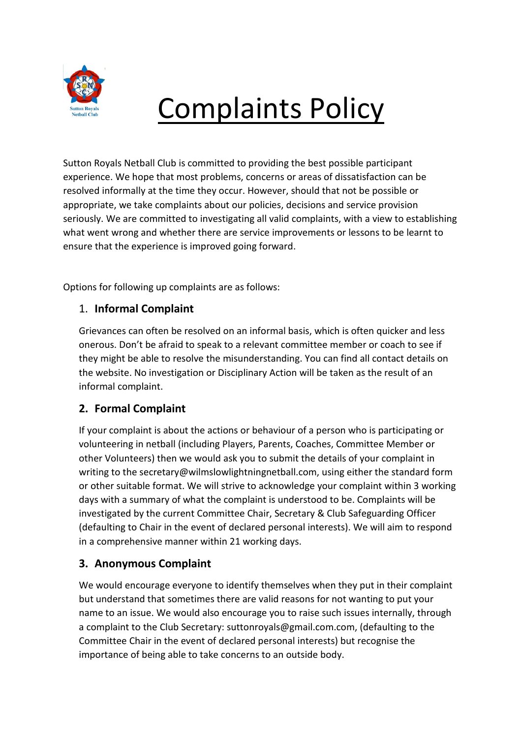

# Complaints Policy

Sutton Royals Netball Club is committed to providing the best possible participant experience. We hope that most problems, concerns or areas of dissatisfaction can be resolved informally at the time they occur. However, should that not be possible or appropriate, we take complaints about our policies, decisions and service provision seriously. We are committed to investigating all valid complaints, with a view to establishing what went wrong and whether there are service improvements or lessons to be learnt to ensure that the experience is improved going forward.

Options for following up complaints are as follows:

# 1. **Informal Complaint**

Grievances can often be resolved on an informal basis, which is often quicker and less onerous. Don't be afraid to speak to a relevant committee member or coach to see if they might be able to resolve the misunderstanding. You can find all contact details on the website. No investigation or Disciplinary Action will be taken as the result of an informal complaint.

# **2. Formal Complaint**

If your complaint is about the actions or behaviour of a person who is participating or volunteering in netball (including Players, Parents, Coaches, Committee Member or other Volunteers) then we would ask you to submit the details of your complaint in writing to the secretary@wilmslowlightningnetball.com, using either the standard form or other suitable format. We will strive to acknowledge your complaint within 3 working days with a summary of what the complaint is understood to be. Complaints will be investigated by the current Committee Chair, Secretary & Club Safeguarding Officer (defaulting to Chair in the event of declared personal interests). We will aim to respond in a comprehensive manner within 21 working days.

#### **3. Anonymous Complaint**

We would encourage everyone to identify themselves when they put in their complaint but understand that sometimes there are valid reasons for not wanting to put your name to an issue. We would also encourage you to raise such issues internally, through a complaint to the Club Secretary: suttonroyals@gmail.com.com, (defaulting to the Committee Chair in the event of declared personal interests) but recognise the importance of being able to take concerns to an outside body.